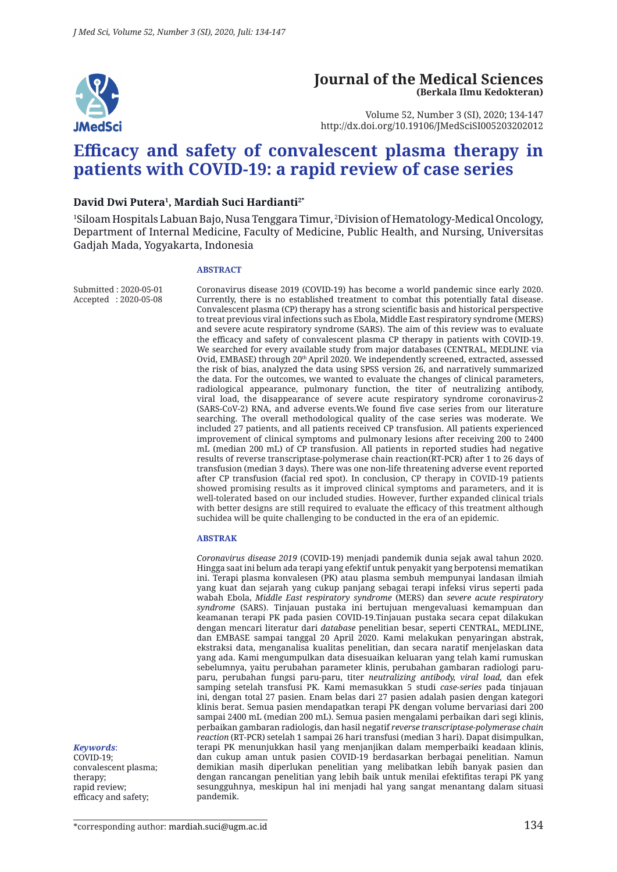

#### **Journal of the Medical Sciences (Berkala Ilmu Kedokteran)**

Volume 52, Number 3 (SI), 2020; 134-147 http://dx.doi.org/10.19106/JMedSciSI005203202012

# **Efficacy and safety of convalescent plasma therapy in patients with COVID-19: a rapid review of case series**

#### **David Dwi Putera1 , Mardiah Suci Hardianti2\***

1 Siloam Hospitals Labuan Bajo, Nusa Tenggara Timur, 2 Division of Hematology-Medical Oncology, Department of Internal Medicine, Faculty of Medicine, Public Health, and Nursing, Universitas Gadjah Mada, Yogyakarta, Indonesia

#### **ABSTRACT**

Submitted : 2020-05-01 Accepted : 2020-05-08

Coronavirus disease 2019 (COVID-19) has become a world pandemic since early 2020. Currently, there is no established treatment to combat this potentially fatal disease. Convalescent plasma (CP) therapy has a strong scientific basis and historical perspective to treat previous viral infections such as Ebola, Middle East respiratory syndrome (MERS) and severe acute respiratory syndrome (SARS). The aim of this review was to evaluate the efficacy and safety of convalescent plasma CP therapy in patients with COVID-19. We searched for every available study from major databases (CENTRAL, MEDLINE via Ovid, EMBASE) through 20th April 2020. We independently screened, extracted, assessed the risk of bias, analyzed the data using SPSS version 26, and narratively summarized the data. For the outcomes, we wanted to evaluate the changes of clinical parameters, radiological appearance, pulmonary function, the titer of neutralizing antibody, viral load, the disappearance of severe acute respiratory syndrome coronavirus-2 (SARS-CoV-2) RNA, and adverse events.We found five case series from our literature searching. The overall methodological quality of the case series was moderate. We included 27 patients, and all patients received CP transfusion. All patients experienced improvement of clinical symptoms and pulmonary lesions after receiving 200 to 2400 mL (median 200 mL) of CP transfusion. All patients in reported studies had negative results of reverse transcriptase-polymerase chain reaction(RT-PCR) after 1 to 26 days of transfusion (median 3 days). There was one non-life threatening adverse event reported after CP transfusion (facial red spot). In conclusion, CP therapy in COVID-19 patients showed promising results as it improved clinical symptoms and parameters, and it is well-tolerated based on our included studies. However, further expanded clinical trials with better designs are still required to evaluate the efficacy of this treatment although suchidea will be quite challenging to be conducted in the era of an epidemic.

#### **ABSTRAK**

*Coronavirus disease 2019* (COVID-19) menjadi pandemik dunia sejak awal tahun 2020. Hingga saat ini belum ada terapi yang efektif untuk penyakit yang berpotensi mematikan ini. Terapi plasma konvalesen (PK) atau plasma sembuh mempunyai landasan ilmiah yang kuat dan sejarah yang cukup panjang sebagai terapi infeksi virus seperti pada wabah Ebola, *Middle East respiratory syndrome* (MERS) dan *severe acute respiratory syndrome* (SARS). Tinjauan pustaka ini bertujuan mengevaluasi kemampuan dan keamanan terapi PK pada pasien COVID-19.Tinjauan pustaka secara cepat dilakukan dengan mencari literatur dari *database* penelitian besar, seperti CENTRAL, MEDLINE, dan EMBASE sampai tanggal 20 April 2020. Kami melakukan penyaringan abstrak, ekstraksi data, menganalisa kualitas penelitian, dan secara naratif menjelaskan data yang ada. Kami mengumpulkan data disesuaikan keluaran yang telah kami rumuskan sebelumnya, yaitu perubahan parameter klinis, perubahan gambaran radiologi paruparu, perubahan fungsi paru-paru, titer *neutralizing antibody, viral load,* dan efek samping setelah transfusi PK. Kami memasukkan 5 studi *case-series* pada tinjauan ini, dengan total 27 pasien. Enam belas dari 27 pasien adalah pasien dengan kategori klinis berat. Semua pasien mendapatkan terapi PK dengan volume bervariasi dari 200 sampai 2400 mL (median 200 mL). Semua pasien mengalami perbaikan dari segi klinis, perbaikan gambaran radiologis, dan hasil negatif *reverse transcriptase-polymerase chain reaction* (RT-PCR) setelah 1 sampai 26 hari transfusi (median 3 hari). Dapat disimpulkan, terapi PK menunjukkan hasil yang menjanjikan dalam memperbaiki keadaan klinis, dan cukup aman untuk pasien COVID-19 berdasarkan berbagai penelitian. Namun demikian masih diperlukan penelitian yang melibatkan lebih banyak pasien dan dengan rancangan penelitian yang lebih baik untuk menilai efektifitas terapi PK yang sesungguhnya, meskipun hal ini menjadi hal yang sangat menantang dalam situasi pandemik.

COVID-19; convalescent plasma; therapy; rapid review; efficacy and safety;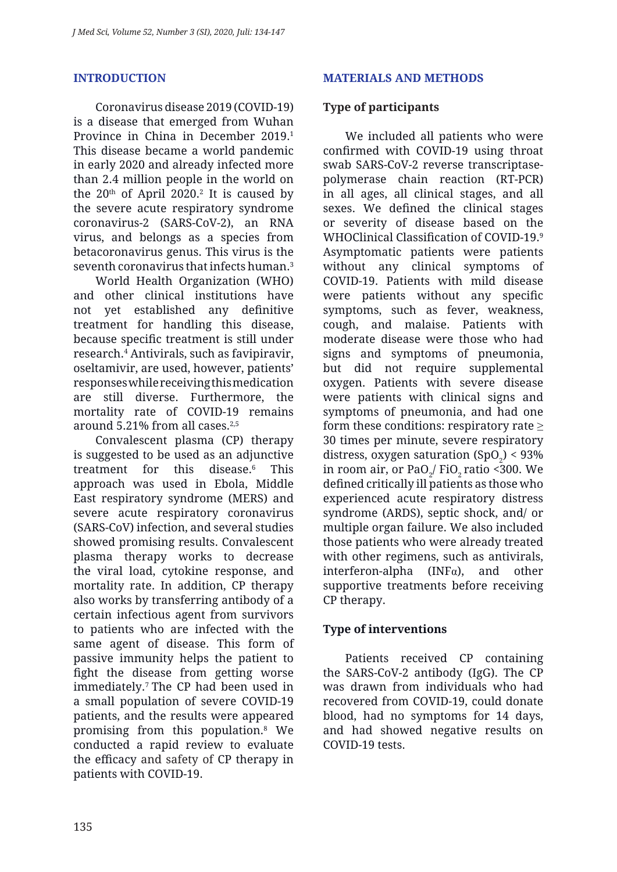#### **INTRODUCTION**

Coronavirus disease 2019 (COVID-19) is a disease that emerged from Wuhan Province in China in December 2019.<sup>1</sup> This disease became a world pandemic in early 2020 and already infected more than 2.4 million people in the world on the  $20<sup>th</sup>$  of April 2020.<sup>2</sup> It is caused by the severe acute respiratory syndrome coronavirus-2 (SARS-CoV-2), an RNA virus, and belongs as a species from betacoronavirus genus. This virus is the seventh coronavirus that infects human.<sup>3</sup>

World Health Organization (WHO) and other clinical institutions have not yet established any definitive treatment for handling this disease, because specific treatment is still under research.4 Antivirals, such as favipiravir, oseltamivir, are used, however, patients' responses while receiving this medication are still diverse. Furthermore, the mortality rate of COVID-19 remains around 5.21% from all cases.2,5

Convalescent plasma (CP) therapy is suggested to be used as an adjunctive treatment for this disease.<sup>6</sup> This approach was used in Ebola, Middle East respiratory syndrome (MERS) and severe acute respiratory coronavirus (SARS-CoV) infection, and several studies showed promising results. Convalescent plasma therapy works to decrease the viral load, cytokine response, and mortality rate. In addition, CP therapy also works by transferring antibody of a certain infectious agent from survivors to patients who are infected with the same agent of disease. This form of passive immunity helps the patient to fight the disease from getting worse immediately.7 The CP had been used in a small population of severe COVID-19 patients, and the results were appeared promising from this population.<sup>8</sup> We conducted a rapid review to evaluate the efficacy and safety of CP therapy in patients with COVID-19.

#### **MATERIALS AND METHODS**

#### **Type of participants**

We included all patients who were confirmed with COVID-19 using throat swab SARS-CoV-2 reverse transcriptasepolymerase chain reaction (RT-PCR) in all ages, all clinical stages, and all sexes. We defined the clinical stages or severity of disease based on the WHOClinical Classification of COVID-19.<sup>9</sup> Asymptomatic patients were patients without any clinical symptoms of COVID-19. Patients with mild disease were patients without any specific symptoms, such as fever, weakness, cough, and malaise. Patients with moderate disease were those who had signs and symptoms of pneumonia, but did not require supplemental oxygen. Patients with severe disease were patients with clinical signs and symptoms of pneumonia, and had one form these conditions: respiratory rate  $\geq$ 30 times per minute, severe respiratory distress, oxygen saturation  $(SpO<sub>2</sub>) < 93\%$ in room air, or Pa $O_2/$  Fi $O_2$ ratio <300. We defined critically ill patients as those who experienced acute respiratory distress syndrome (ARDS), septic shock, and/ or multiple organ failure. We also included those patients who were already treated with other regimens, such as antivirals, interferon-alpha ( $INFa$ ), and other supportive treatments before receiving CP therapy.

#### **Type of interventions**

Patients received CP containing the SARS-CoV-2 antibody (IgG). The CP was drawn from individuals who had recovered from COVID-19, could donate blood, had no symptoms for 14 days, and had showed negative results on COVID-19 tests.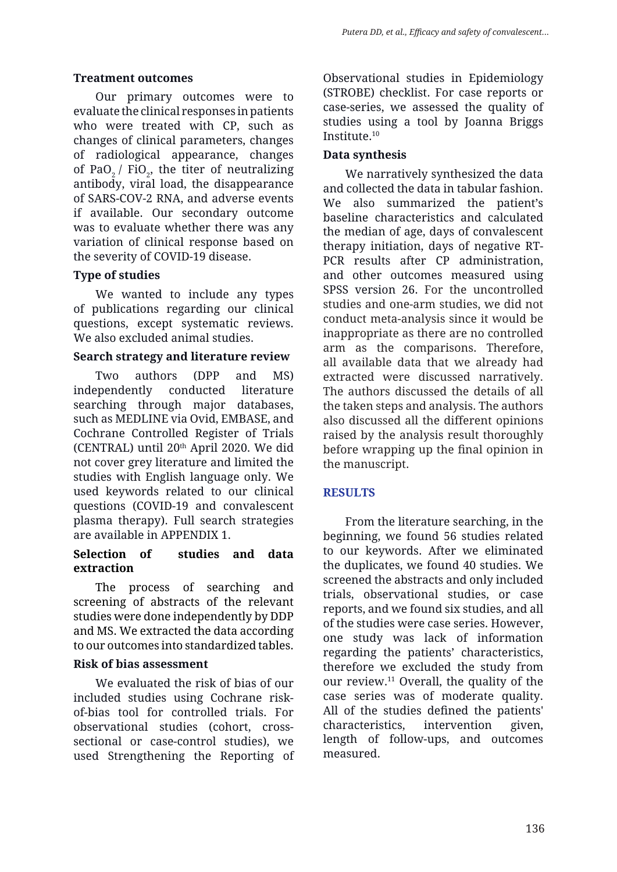#### **Treatment outcomes**

Our primary outcomes were to evaluate the clinical responses in patients who were treated with CP, such as changes of clinical parameters, changes of radiological appearance, changes of PaO<sub>2</sub> / FiO<sub>2</sub>, the titer of neutralizing antibody, viral load, the disappearance of SARS-COV-2 RNA, and adverse events if available. Our secondary outcome was to evaluate whether there was any variation of clinical response based on the severity of COVID-19 disease.

#### **Type of studies**

We wanted to include any types of publications regarding our clinical questions, except systematic reviews. We also excluded animal studies.

#### **Search strategy and literature review**

Two authors (DPP and MS) independently conducted literature searching through major databases, such as MEDLINE via Ovid, EMBASE, and Cochrane Controlled Register of Trials (CENTRAL) until 20th April 2020. We did not cover grey literature and limited the studies with English language only. We used keywords related to our clinical questions (COVID-19 and convalescent plasma therapy). Full search strategies are available in APPENDIX 1.

#### **Selection of studies and data extraction**

The process of searching and screening of abstracts of the relevant studies were done independently by DDP and MS. We extracted the data according to our outcomes into standardized tables.

#### **Risk of bias assessment**

We evaluated the risk of bias of our included studies using Cochrane riskof-bias tool for controlled trials. For observational studies (cohort, crosssectional or case-control studies), we used Strengthening the Reporting of Observational studies in Epidemiology (STROBE) checklist. For case reports or case-series, we assessed the quality of studies using a tool by Joanna Briggs Institute.10

#### **Data synthesis**

We narratively synthesized the data and collected the data in tabular fashion. We also summarized the patient's baseline characteristics and calculated the median of age, days of convalescent therapy initiation, days of negative RT-PCR results after CP administration, and other outcomes measured using SPSS version 26. For the uncontrolled studies and one-arm studies, we did not conduct meta-analysis since it would be inappropriate as there are no controlled arm as the comparisons. Therefore, all available data that we already had extracted were discussed narratively. The authors discussed the details of all the taken steps and analysis. The authors also discussed all the different opinions raised by the analysis result thoroughly before wrapping up the final opinion in the manuscript.

## **RESULTS**

From the literature searching, in the beginning, we found 56 studies related to our keywords. After we eliminated the duplicates, we found 40 studies. We screened the abstracts and only included trials, observational studies, or case reports, and we found six studies, and all of the studies were case series. However, one study was lack of information regarding the patients' characteristics, therefore we excluded the study from our review.11 Overall, the quality of the case series was of moderate quality. All of the studies defined the patients' characteristics, intervention given, length of follow-ups, and outcomes measured.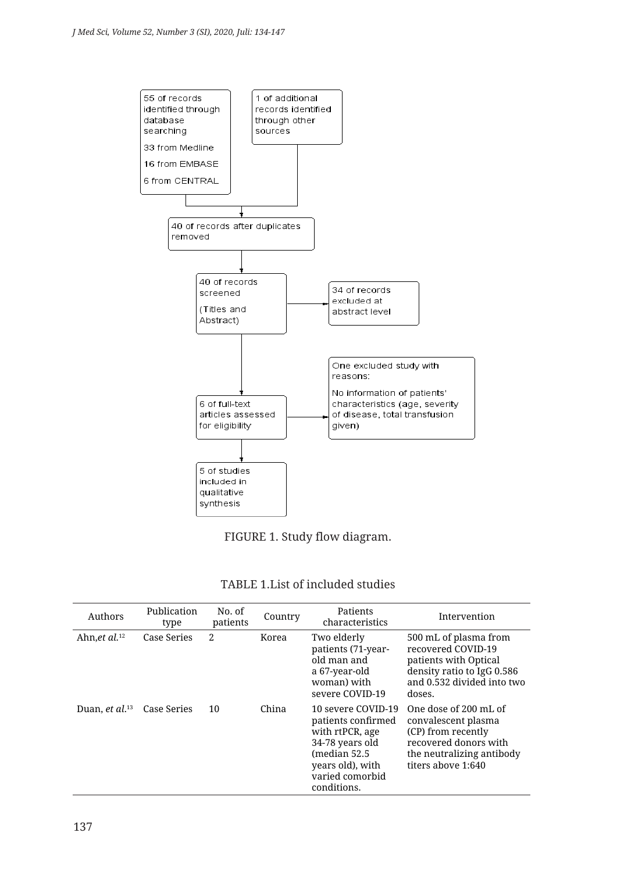



| TABLE 1.List of included studies |
|----------------------------------|
|                                  |

| Authors                    | Publication<br>type | No. of<br>patients | Country | Patients<br>characteristics                                                                                                                           | Intervention                                                                                                                                   |
|----------------------------|---------------------|--------------------|---------|-------------------------------------------------------------------------------------------------------------------------------------------------------|------------------------------------------------------------------------------------------------------------------------------------------------|
| Ahn.et $al.^{12}$          | Case Series         | $\mathfrak{D}$     | Korea   | Two elderly<br>patients (71-year-<br>old man and<br>a 67-year-old<br>woman) with<br>severe COVID-19                                                   | 500 mL of plasma from<br>recovered COVID-19<br>patients with Optical<br>density ratio to IgG 0.586<br>and 0.532 divided into two<br>doses.     |
| Duan, et al. <sup>13</sup> | Case Series         | 10                 | China   | 10 severe COVID-19<br>patients confirmed<br>with rtPCR, age<br>34-78 years old<br>(median 52.5)<br>years old), with<br>varied comorbid<br>conditions. | One dose of 200 mL of<br>convalescent plasma<br>(CP) from recently<br>recovered donors with<br>the neutralizing antibody<br>titers above 1:640 |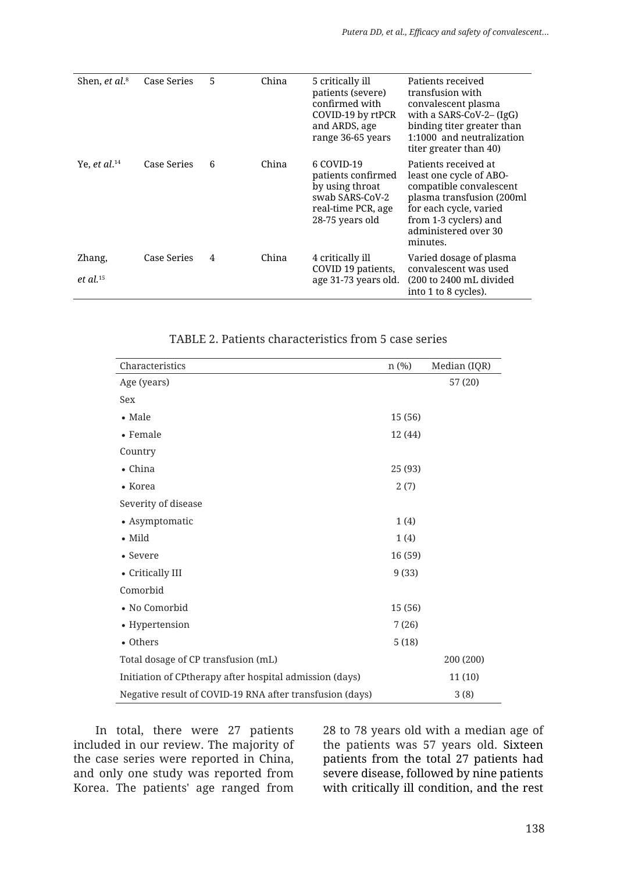| Shen, <i>et al.</i> <sup>8</sup> | Case Series | 5 | China | 5 critically ill<br>patients (severe)<br>confirmed with<br>COVID-19 by rtPCR<br>and ARDS, age<br>range 36-65 years | Patients received<br>transfusion with<br>convalescent plasma<br>with a SARS-CoV-2- $(IgG)$<br>binding titer greater than<br>1:1000 and neutralization<br>titer greater than 40)                |
|----------------------------------|-------------|---|-------|--------------------------------------------------------------------------------------------------------------------|------------------------------------------------------------------------------------------------------------------------------------------------------------------------------------------------|
| Ye, et al. $^{14}$               | Case Series | 6 | China | 6 COVID-19<br>patients confirmed<br>by using throat<br>swab SARS-CoV-2<br>real-time PCR, age<br>28-75 years old    | Patients received at<br>least one cycle of ABO-<br>compatible convalescent<br>plasma transfusion (200ml<br>for each cycle, varied<br>from 1-3 cyclers) and<br>administered over 30<br>minutes. |
| Zhang,<br>et al. $15$            | Case Series | 4 | China | 4 critically ill<br>COVID 19 patients,<br>age 31-73 years old.                                                     | Varied dosage of plasma<br>convalescent was used<br>(200 to 2400 mL divided<br>into 1 to 8 cycles).                                                                                            |

| Characteristics                                          | $n$ (%) | Median (IQR) |
|----------------------------------------------------------|---------|--------------|
| Age (years)                                              |         | 57 (20)      |
| Sex                                                      |         |              |
| $\bullet$ Male                                           | 15 (56) |              |
| $\bullet$ Female                                         | 12 (44) |              |
| Country                                                  |         |              |
| • China                                                  | 25 (93) |              |
| • Korea                                                  | 2(7)    |              |
| Severity of disease                                      |         |              |
| • Asymptomatic                                           | 1(4)    |              |
| $\bullet$ Mild                                           | 1(4)    |              |
| • Severe                                                 | 16 (59) |              |
| • Critically III                                         | 9(33)   |              |
| Comorbid                                                 |         |              |
| • No Comorbid                                            | 15 (56) |              |
| • Hypertension                                           | 7(26)   |              |
| • Others                                                 | 5(18)   |              |
| Total dosage of CP transfusion (mL)                      |         | 200 (200)    |
| Initiation of CPtherapy after hospital admission (days)  |         | 11(10)       |
| Negative result of COVID-19 RNA after transfusion (days) |         | 3(8)         |

#### TABLE 2. Patients characteristics from 5 case series

In total, there were 27 patients included in our review. The majority of the case series were reported in China, and only one study was reported from Korea. The patients' age ranged from

28 to 78 years old with a median age of the patients was 57 years old. Sixteen patients from the total 27 patients had severe disease, followed by nine patients with critically ill condition, and the rest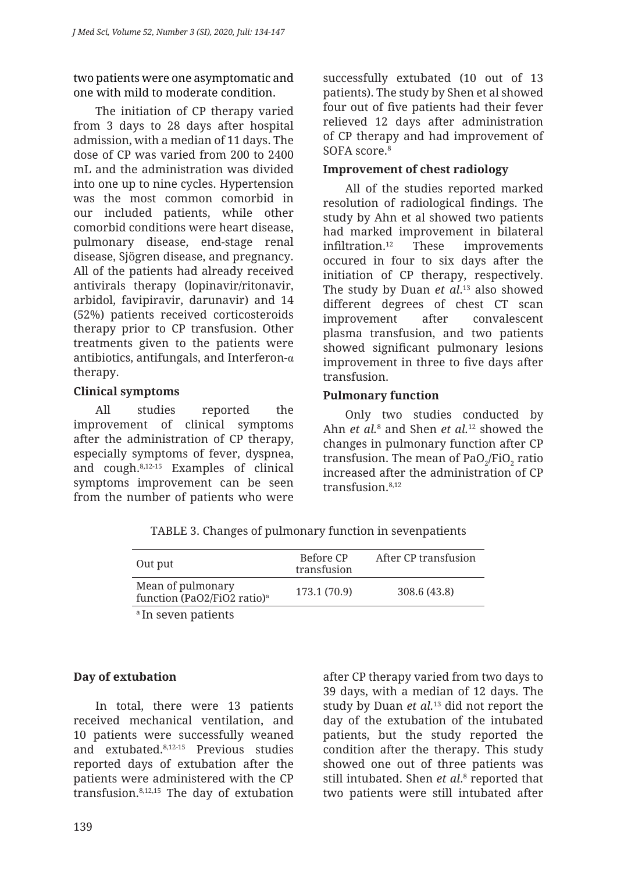two patients were one asymptomatic and one with mild to moderate condition.

The initiation of CP therapy varied from 3 days to 28 days after hospital admission, with a median of 11 days. The dose of CP was varied from 200 to 2400 mL and the administration was divided into one up to nine cycles. Hypertension was the most common comorbid in our included patients, while other comorbid conditions were heart disease, pulmonary disease, end-stage renal disease, Sjögren disease, and pregnancy. All of the patients had already received antivirals therapy (lopinavir/ritonavir, arbidol, favipiravir, darunavir) and 14 (52%) patients received corticosteroids therapy prior to CP transfusion. Other treatments given to the patients were antibiotics, antifungals, and Interferon- $\alpha$ therapy.

## **Clinical symptoms**

All studies reported the improvement of clinical symptoms after the administration of CP therapy, especially symptoms of fever, dyspnea, and cough.8,12-15 Examples of clinical symptoms improvement can be seen from the number of patients who were successfully extubated (10 out of 13 patients). The study by Shen et al showed four out of five patients had their fever relieved 12 days after administration of CP therapy and had improvement of SOFA score.<sup>8</sup>

#### **Improvement of chest radiology**

All of the studies reported marked resolution of radiological findings. The study by Ahn et al showed two patients had marked improvement in bilateral infiltration.12 These improvements occured in four to six days after the initiation of CP therapy, respectively. The study by Duan *et al*. <sup>13</sup> also showed different degrees of chest CT scan improvement after convalescent plasma transfusion, and two patients showed significant pulmonary lesions improvement in three to five days after transfusion.

#### **Pulmonary function**

Only two studies conducted by Ahn *et al.*<sup>8</sup> and Shen *et al.*<sup>12</sup> showed the changes in pulmonary function after CP transfusion. The mean of Pa $O_2/FiO_2$  ratio increased after the administration of CP transfusion.<sup>8,12</sup>

| Out put                                                      | Before CP<br>transfusion | After CP transfusion |
|--------------------------------------------------------------|--------------------------|----------------------|
| Mean of pulmonary<br>function (PaO2/FiO2 ratio) <sup>a</sup> | 173.1 (70.9)             | 308.6 (43.8)         |
| <sup>a</sup> In seven patients                               |                          |                      |

TABLE 3. Changes of pulmonary function in sevenpatients

## **Day of extubation**

In total, there were 13 patients received mechanical ventilation, and 10 patients were successfully weaned and extubated.8,12-15 Previous studies reported days of extubation after the patients were administered with the CP transfusion.8,12,15 The day of extubation after CP therapy varied from two days to 39 days, with a median of 12 days. The study by Duan *et al.* 13 did not report the day of the extubation of the intubated patients, but the study reported the condition after the therapy. This study showed one out of three patients was still intubated. Shen *et al*.<sup>8</sup> reported that two patients were still intubated after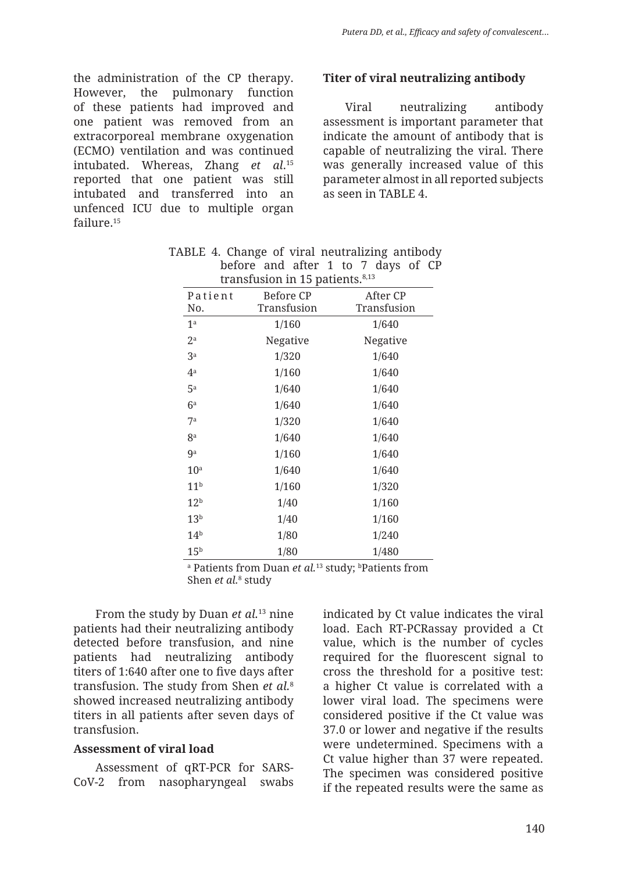the administration of the CP therapy. However, the pulmonary function of these patients had improved and one patient was removed from an extracorporeal membrane oxygenation (ECMO) ventilation and was continued intubated. Whereas, Zhang *et al*. 15 reported that one patient was still intubated and transferred into an unfenced ICU due to multiple organ failure.<sup>15</sup>

#### **Titer of viral neutralizing antibody**

Viral neutralizing antibody assessment is important parameter that indicate the amount of antibody that is capable of neutralizing the viral. There was generally increased value of this parameter almost in all reported subjects as seen in TABLE 4.

| u ansiasion in 19 pauchts. |                          |                         |  |  |  |  |  |
|----------------------------|--------------------------|-------------------------|--|--|--|--|--|
| Patient<br>No.             | Before CP<br>Transfusion | After CP<br>Transfusion |  |  |  |  |  |
| 1 <sup>a</sup>             | 1/160                    | 1/640                   |  |  |  |  |  |
| $2^{\rm a}$                | Negative                 | Negative                |  |  |  |  |  |
| 3 <sup>a</sup>             | 1/320                    | 1/640                   |  |  |  |  |  |
| $4^a$                      | 1/160                    | 1/640                   |  |  |  |  |  |
| 5 <sup>a</sup>             | 1/640                    | 1/640                   |  |  |  |  |  |
| 6 <sup>a</sup>             | 1/640                    | 1/640                   |  |  |  |  |  |
| 7 <sup>a</sup>             | 1/320                    | 1/640                   |  |  |  |  |  |
| 8 <sup>a</sup>             | 1/640                    | 1/640                   |  |  |  |  |  |
| 9a                         | 1/160                    | 1/640                   |  |  |  |  |  |
| 10 <sup>a</sup>            | 1/640                    | 1/640                   |  |  |  |  |  |
| 11 <sup>b</sup>            | 1/160                    | 1/320                   |  |  |  |  |  |
| 12 <sup>b</sup>            | 1/40                     | 1/160                   |  |  |  |  |  |
| 13 <sup>b</sup>            | 1/40                     | 1/160                   |  |  |  |  |  |
| 14 <sup>b</sup>            | 1/80                     | 1/240                   |  |  |  |  |  |
| 15 <sup>b</sup>            | 1/80                     | 1/480                   |  |  |  |  |  |

| TABLE 4. Change of viral neutralizing antibody |                                    |  |  |  |  |  |
|------------------------------------------------|------------------------------------|--|--|--|--|--|
|                                                | before and after 1 to 7 days of CP |  |  |  |  |  |
|                                                | transfusion in 15 patients. $8,13$ |  |  |  |  |  |

<sup>a</sup> Patients from Duan *et al*.<sup>13</sup> study; <sup>b</sup>Patients from Shen *et al.*8 study

From the study by Duan *et al.* 13 nine patients had their neutralizing antibody detected before transfusion, and nine patients had neutralizing antibody titers of 1:640 after one to five days after transfusion. The study from Shen *et al.* 8 showed increased neutralizing antibody titers in all patients after seven days of transfusion.

#### **Assessment of viral load**

Assessment of qRT-PCR for SARS-CoV-2 from nasopharyngeal swabs indicated by Ct value indicates the viral load. Each RT-PCRassay provided a Ct value, which is the number of cycles required for the fluorescent signal to cross the threshold for a positive test: a higher Ct value is correlated with a lower viral load. The specimens were considered positive if the Ct value was 37.0 or lower and negative if the results were undetermined. Specimens with a Ct value higher than 37 were repeated. The specimen was considered positive if the repeated results were the same as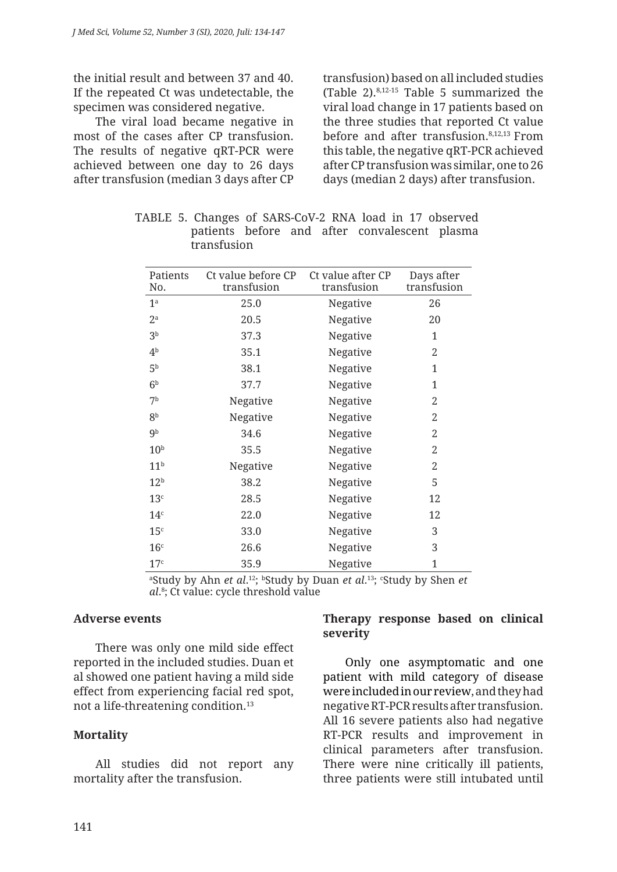the initial result and between 37 and 40. If the repeated Ct was undetectable, the specimen was considered negative.

The viral load became negative in most of the cases after CP transfusion. The results of negative qRT-PCR were achieved between one day to 26 days after transfusion (median 3 days after CP transfusion) based on all included studies (Table 2).8,12-15 Table 5 summarized the viral load change in 17 patients based on the three studies that reported Ct value before and after transfusion.8,12,13 From this table, the negative qRT-PCR achieved after CP transfusion was similar, one to 26 days (median 2 days) after transfusion.

| Patients<br>No.  | Ct value before CP<br>transfusion | Ct value after CP<br>transfusion | Days after<br>transfusion |
|------------------|-----------------------------------|----------------------------------|---------------------------|
| 1 <sup>a</sup>   | 25.0                              | Negative                         | 26                        |
| $2^{\mathrm{a}}$ | 20.5                              | Negative                         | 20                        |
| 3 <sup>b</sup>   | 37.3                              | Negative                         | 1                         |
| 4 <sup>b</sup>   | 35.1                              | Negative                         | 2                         |
| 5 <sup>b</sup>   | 38.1                              | Negative                         | 1                         |
| 6 <sup>b</sup>   | 37.7                              | Negative                         | 1                         |
| 7 <sup>b</sup>   | Negative                          | Negative                         | 2                         |
| 8 <sup>b</sup>   | Negative                          | Negative                         | 2                         |
| 9 <sup>b</sup>   | 34.6                              | Negative                         | 2                         |
| 10 <sup>b</sup>  | 35.5                              | Negative                         | 2                         |
| 11 <sup>b</sup>  | Negative                          | Negative                         | 2                         |
| 12 <sup>b</sup>  | 38.2                              | Negative                         | 5                         |
| 13 <sup>c</sup>  | 28.5                              | Negative                         | 12                        |
| 14 <sup>c</sup>  | 22.0                              | Negative                         | 12                        |
| 15 <sup>c</sup>  | 33.0                              | Negative                         | 3                         |
| 16 <sup>c</sup>  | 26.6                              | Negative                         | 3                         |
| 17 <sup>c</sup>  | 35.9                              | Negative                         | $\mathbf{1}$              |

TABLE 5. Changes of SARS-CoV-2 RNA load in 17 observed patients before and after convalescent plasma transfusion

<sup>a</sup>Study by Ahn *et al*.<sup>12</sup>; <sup>b</sup>Study by Duan *et al*.<sup>13</sup>; <sup>c</sup>Study by Shen *et al*. 8 ; Ct value: cycle threshold value

#### **Adverse events**

There was only one mild side effect reported in the included studies. Duan et al showed one patient having a mild side effect from experiencing facial red spot, not a life-threatening condition.<sup>13</sup>

#### **Mortality**

All studies did not report any mortality after the transfusion.

#### **Therapy response based on clinical severity**

Only one asymptomatic and one patient with mild category of disease were included in our review, and they had negative RT-PCR results after transfusion. All 16 severe patients also had negative RT-PCR results and improvement in clinical parameters after transfusion. There were nine critically ill patients, three patients were still intubated until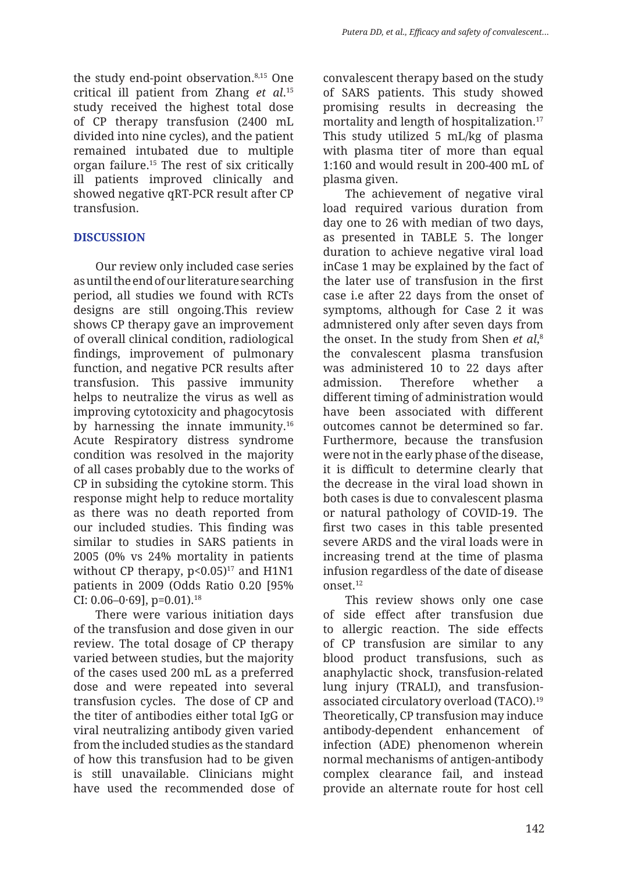the study end-point observation.<sup>8,15</sup> One critical ill patient from Zhang *et al*. 15 study received the highest total dose of CP therapy transfusion (2400 mL divided into nine cycles), and the patient remained intubated due to multiple organ failure.<sup>15</sup> The rest of six critically ill patients improved clinically and showed negative qRT-PCR result after CP transfusion.

#### **DISCUSSION**

Our review only included case series as until the end of our literature searching period, all studies we found with RCTs designs are still ongoing.This review shows CP therapy gave an improvement of overall clinical condition, radiological findings, improvement of pulmonary function, and negative PCR results after transfusion. This passive immunity helps to neutralize the virus as well as improving cytotoxicity and phagocytosis by harnessing the innate immunity.16 Acute Respiratory distress syndrome condition was resolved in the majority of all cases probably due to the works of CP in subsiding the cytokine storm. This response might help to reduce mortality as there was no death reported from our included studies. This finding was similar to studies in SARS patients in 2005 (0% vs 24% mortality in patients without CP therapy,  $p<0.05$ <sup>17</sup> and H1N1 patients in 2009 (Odds Ratio 0.20 [95% CI: 0.06–0 $\cdot$ 69], p=0.01).<sup>18</sup>

There were various initiation days of the transfusion and dose given in our review. The total dosage of CP therapy varied between studies, but the majority of the cases used 200 mL as a preferred dose and were repeated into several transfusion cycles. The dose of CP and the titer of antibodies either total IgG or viral neutralizing antibody given varied from the included studies as the standard of how this transfusion had to be given is still unavailable. Clinicians might have used the recommended dose of convalescent therapy based on the study of SARS patients. This study showed promising results in decreasing the mortality and length of hospitalization.<sup>17</sup> This study utilized 5 mL/kg of plasma with plasma titer of more than equal 1:160 and would result in 200-400 mL of plasma given.

The achievement of negative viral load required various duration from day one to 26 with median of two days, as presented in TABLE 5. The longer duration to achieve negative viral load inCase 1 may be explained by the fact of the later use of transfusion in the first case i.e after 22 days from the onset of symptoms, although for Case 2 it was admnistered only after seven days from the onset. In the study from Shen *et al*, 8 the convalescent plasma transfusion was administered 10 to 22 days after admission. Therefore whether a different timing of administration would have been associated with different outcomes cannot be determined so far. Furthermore, because the transfusion were not in the early phase of the disease, it is difficult to determine clearly that the decrease in the viral load shown in both cases is due to convalescent plasma or natural pathology of COVID-19. The first two cases in this table presented severe ARDS and the viral loads were in increasing trend at the time of plasma infusion regardless of the date of disease onset.12

This review shows only one case of side effect after transfusion due to allergic reaction. The side effects of CP transfusion are similar to any blood product transfusions, such as anaphylactic shock, transfusion-related lung injury (TRALI), and transfusionassociated circulatory overload (TACO).19 Theoretically, CP transfusion may induce antibody-dependent enhancement of infection (ADE) phenomenon wherein normal mechanisms of antigen-antibody complex clearance fail, and instead provide an alternate route for host cell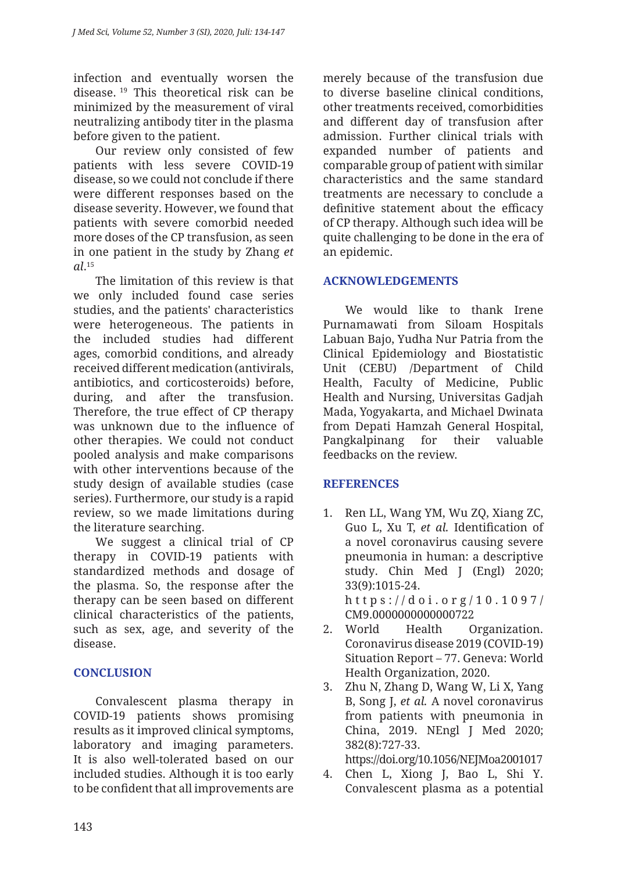infection and eventually worsen the disease. 19 This theoretical risk can be minimized by the measurement of viral neutralizing antibody titer in the plasma before given to the patient.

Our review only consisted of few patients with less severe COVID-19 disease, so we could not conclude if there were different responses based on the disease severity. However, we found that patients with severe comorbid needed more doses of the CP transfusion, as seen in one patient in the study by Zhang *et al*. 15

The limitation of this review is that we only included found case series studies, and the patients' characteristics were heterogeneous. The patients in the included studies had different ages, comorbid conditions, and already received different medication (antivirals, antibiotics, and corticosteroids) before, during, and after the transfusion. Therefore, the true effect of CP therapy was unknown due to the influence of other therapies. We could not conduct pooled analysis and make comparisons with other interventions because of the study design of available studies (case series). Furthermore, our study is a rapid review, so we made limitations during the literature searching.

We suggest a clinical trial of CP therapy in COVID-19 patients with standardized methods and dosage of the plasma. So, the response after the therapy can be seen based on different clinical characteristics of the patients, such as sex, age, and severity of the disease.

#### **CONCLUSION**

Convalescent plasma therapy in COVID-19 patients shows promising results as it improved clinical symptoms, laboratory and imaging parameters. It is also well-tolerated based on our included studies. Although it is too early to be confident that all improvements are merely because of the transfusion due to diverse baseline clinical conditions, other treatments received, comorbidities and different day of transfusion after admission. Further clinical trials with expanded number of patients and comparable group of patient with similar characteristics and the same standard treatments are necessary to conclude a definitive statement about the efficacy of CP therapy. Although such idea will be quite challenging to be done in the era of an epidemic.

#### **ACKNOWLEDGEMENTS**

We would like to thank Irene Purnamawati from Siloam Hospitals Labuan Bajo, Yudha Nur Patria from the Clinical Epidemiology and Biostatistic Unit (CEBU) /Department of Child Health, Faculty of Medicine, Public Health and Nursing, Universitas Gadjah Mada, Yogyakarta, and Michael Dwinata from Depati Hamzah General Hospital, Pangkalpinang for their valuable feedbacks on the review.

#### **REFERENCES**

- 1. Ren LL, Wang YM, Wu ZQ, Xiang ZC, Guo L, Xu T, *et al.* Identification of a novel coronavirus causing severe pneumonia in human: a descriptive study. Chin Med J (Engl) 2020; 33(9):1015-24. http s ://doi.org/10.1097/ CM9.0000000000000722
- 2. World Health Organization. Coronavirus disease 2019 (COVID-19) Situation Report – 77. Geneva: World Health Organization, 2020.
- 3. Zhu N, Zhang D, Wang W, Li X, Yang B, Song J, *et al.* A novel coronavirus from patients with pneumonia in China, 2019. NEngl J Med 2020; 382(8):727-33. https://doi.org/10.1056/NEJMoa2001017
- 4. Chen L, Xiong J, Bao L, Shi Y. Convalescent plasma as a potential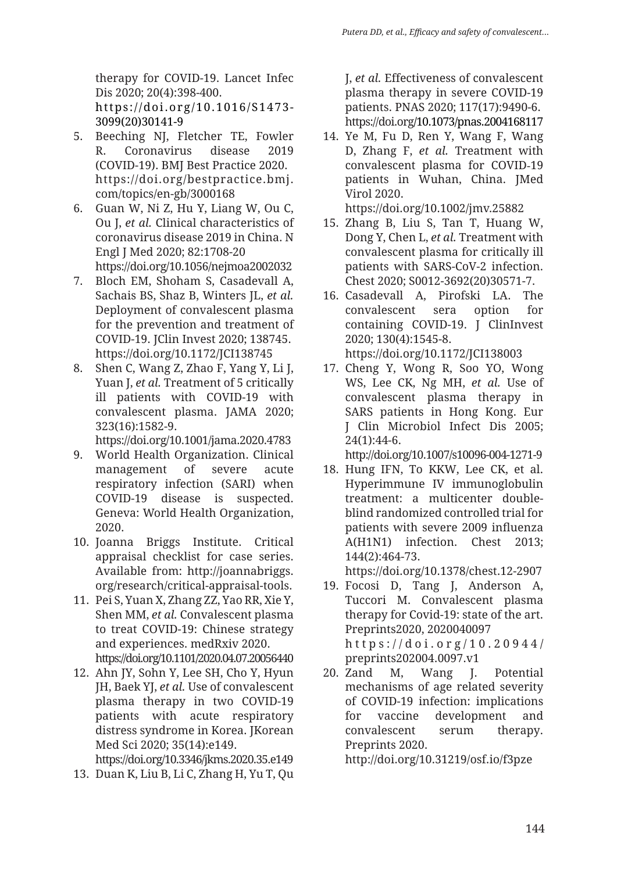therapy for COVID-19. Lancet Infec Dis 2020; 20(4):398-400. https://doi.org/10.1016/S1473- 3099(20)30141-9

- 5. Beeching NJ, Fletcher TE, Fowler R. Coronavirus disease 2019 (COVID-19). BMJ Best Practice 2020. https://doi.org/bestpractice.bmj. com/topics/en-gb/3000168
- 6. Guan W, Ni Z, Hu Y, Liang W, Ou C, Ou J, *et al.* Clinical characteristics of coronavirus disease 2019 in China. N Engl J Med 2020; 82:1708-20 https://doi.org/10.1056/nejmoa2002032
- 7. Bloch EM, Shoham S, Casadevall A, Sachais BS, Shaz B, Winters JL, *et al.*  Deployment of convalescent plasma for the prevention and treatment of COVID-19. JClin Invest 2020; 138745. https://doi.org/10.1172/JCI138745
- 8. Shen C, Wang Z, Zhao F, Yang Y, Li J, Yuan J, *et al.* Treatment of 5 critically ill patients with COVID-19 with convalescent plasma. JAMA 2020; 323(16):1582-9.

https://doi.org/10.1001/jama.2020.4783

- 9. World Health Organization. Clinical management of severe acute respiratory infection (SARI) when COVID-19 disease is suspected. Geneva: World Health Organization, 2020.
- 10. Joanna Briggs Institute. Critical appraisal checklist for case series. Available from: http://joannabriggs. org/research/critical-appraisal-tools.
- 11. Pei S, Yuan X, Zhang ZZ, Yao RR, Xie Y, Shen MM, *et al.* Convalescent plasma to treat COVID-19: Chinese strategy and experiences. medRxiv 2020.

https://doi.org/10.1101/2020.04.07.20056440

12. Ahn JY, Sohn Y, Lee SH, Cho Y, Hyun JH, Baek YJ, *et al.* Use of convalescent plasma therapy in two COVID-19 patients with acute respiratory distress syndrome in Korea. JKorean Med Sci 2020; 35(14):e149.

https://doi.org/10.3346/jkms.2020.35.e149

13. Duan K, Liu B, Li C, Zhang H, Yu T, Qu

J, *et al.* Effectiveness of convalescent plasma therapy in severe COVID-19 patients. PNAS 2020; 117(17):9490-6. https://doi.org/10.1073/pnas.2004168117

14. Ye M, Fu D, Ren Y, Wang F, Wang D, Zhang F, *et al.* Treatment with convalescent plasma for COVID-19 patients in Wuhan, China. JMed Virol 2020.

https://doi.org/10.1002/jmv.25882

- 15. Zhang B, Liu S, Tan T, Huang W, Dong Y, Chen L, *et al.* Treatment with convalescent plasma for critically ill patients with SARS-CoV-2 infection. Chest 2020; S0012-3692(20)30571-7.
- 16. Casadevall A, Pirofski LA. The convalescent sera option for containing COVID-19. J ClinInvest 2020; 130(4):1545-8. https://doi.org/10.1172/JCI138003
- 17. Cheng Y, Wong R, Soo YO, Wong WS, Lee CK, Ng MH, *et al.* Use of convalescent plasma therapy in SARS patients in Hong Kong. Eur J Clin Microbiol Infect Dis 2005; 24(1):44-6.

http://doi.org/10.1007/s10096-004-1271-9

18. Hung IFN, To KKW, Lee CK, et al. Hyperimmune IV immunoglobulin treatment: a multicenter doubleblind randomized controlled trial for patients with severe 2009 influenza A(H1N1) infection. Chest 2013; 144(2):464-73.

https://doi.org/10.1378/chest.12-2907

- 19. Focosi D, Tang J, Anderson A, Tuccori M. Convalescent plasma therapy for Covid-19: state of the art. Preprints2020, 2020040097 https://doi.org/10.20944/ preprints202004.0097.v1
- 20. Zand M, Wang J. Potential mechanisms of age related severity of COVID-19 infection: implications for vaccine development and convalescent serum therapy. Preprints 2020.

http://doi.org/10.31219/osf.io/f3pze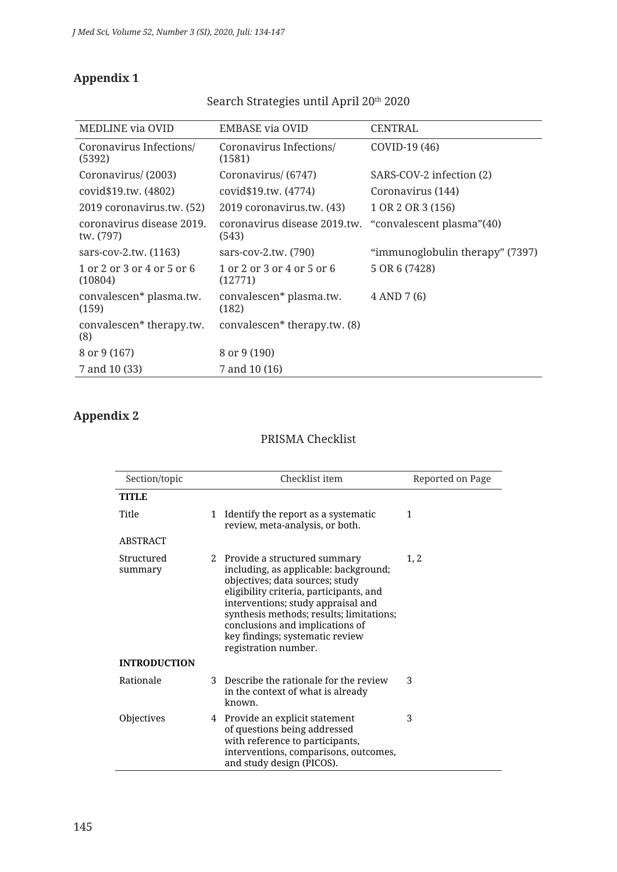8 or 9 (167) 8 or 9 (190) 7 and 10 (33) 7 and 10 (16)

## **Appendix 1**

#### MEDLINE via OVID EMBASE via OVID CENTRAL Coronavirus Infections/ (5392) Coronavirus Infections/ (1581) COVID-19 (46) Coronavirus/ (2003) Coronavirus/ (6747) SARS-COV-2 infection (2) covid\$19.tw. (4802) covid\$19.tw. (4774) Coronavirus (144) 2019 coronavirus.tw. (52) 2019 coronavirus.tw. (43) 1 OR 2 OR 3 (156) coronavirus disease 2019. tw. (797) coronavirus disease 2019.tw. (543) "convalescent plasma"(40) sars-cov-2.tw. (1163) sars-cov-2.tw. (790) "immunoglobulin therapy" (7397) 1 or 2 or 3 or 4 or 5 or 6 (10804) 1 or 2 or 3 or 4 or 5 or 6 (12771) 5 OR 6 (7428) convalescen\* plasma.tw. (159) convalescen\* plasma.tw. (182) 4 AND 7 (6) convalescen\* therapy.tw. convalescen\* therapy.tw. (8)

#### Search Strategies until April 20th 2020

#### **Appendix 2**

(8)

#### PRISMA Checklist

| Section/topic         |   | Checklist item                                                                                                                                                                                                                                                                                                                        | Reported on Page |
|-----------------------|---|---------------------------------------------------------------------------------------------------------------------------------------------------------------------------------------------------------------------------------------------------------------------------------------------------------------------------------------|------------------|
| <b>TITLE</b>          |   |                                                                                                                                                                                                                                                                                                                                       |                  |
| Title                 | 1 | Identify the report as a systematic<br>review, meta-analysis, or both.                                                                                                                                                                                                                                                                | 1                |
| <b>ABSTRACT</b>       |   |                                                                                                                                                                                                                                                                                                                                       |                  |
| Structured<br>summary |   | 2 Provide a structured summary<br>including, as applicable: background;<br>objectives; data sources; study<br>eligibility criteria, participants, and<br>interventions; study appraisal and<br>synthesis methods; results; limitations;<br>conclusions and implications of<br>key findings; systematic review<br>registration number. | 1, 2             |
| <b>INTRODUCTION</b>   |   |                                                                                                                                                                                                                                                                                                                                       |                  |
| Rationale             |   | 3 Describe the rationale for the review<br>in the context of what is already<br>known.                                                                                                                                                                                                                                                | 3                |
| Objectives            |   | 4 Provide an explicit statement<br>of questions being addressed<br>with reference to participants,<br>interventions, comparisons, outcomes,<br>and study design (PICOS).                                                                                                                                                              | 3                |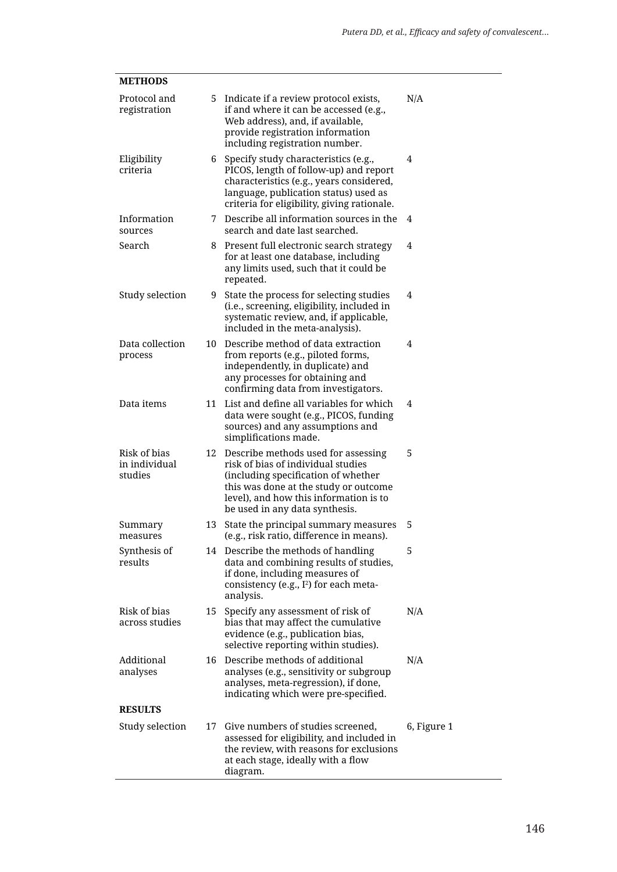| <b>METHODS</b>                           |    |                                                                                                                                                                                                                                       |             |
|------------------------------------------|----|---------------------------------------------------------------------------------------------------------------------------------------------------------------------------------------------------------------------------------------|-------------|
| Protocol and<br>registration             | 5. | Indicate if a review protocol exists,<br>if and where it can be accessed (e.g.,<br>Web address), and, if available,<br>provide registration information<br>including registration number.                                             | N/A         |
| Eligibility<br>criteria                  | 6  | Specify study characteristics (e.g.,<br>PICOS, length of follow-up) and report<br>characteristics (e.g., years considered,<br>language, publication status) used as<br>criteria for eligibility, giving rationale.                    | 4           |
| Information<br>sources                   | 7  | Describe all information sources in the<br>search and date last searched.                                                                                                                                                             | 4           |
| Search                                   | 8  | Present full electronic search strategy<br>for at least one database, including<br>any limits used, such that it could be<br>repeated.                                                                                                | 4           |
| Study selection                          | 9  | State the process for selecting studies<br>(i.e., screening, eligibility, included in<br>systematic review, and, if applicable,<br>included in the meta-analysis).                                                                    | 4           |
| Data collection<br>process               | 10 | Describe method of data extraction<br>from reports (e.g., piloted forms,<br>independently, in duplicate) and<br>any processes for obtaining and<br>confirming data from investigators.                                                | 4           |
| Data items                               | 11 | List and define all variables for which<br>data were sought (e.g., PICOS, funding<br>sources) and any assumptions and<br>simplifications made.                                                                                        | 4           |
| Risk of bias<br>in individual<br>studies | 12 | Describe methods used for assessing<br>risk of bias of individual studies<br>(including specification of whether<br>this was done at the study or outcome<br>level), and how this information is to<br>be used in any data synthesis. | 5           |
| Summary<br>measures                      | 13 | State the principal summary measures<br>(e.g., risk ratio, difference in means).                                                                                                                                                      | 5           |
| Synthesis of<br>results                  |    | 14 Describe the methods of handling<br>data and combining results of studies,<br>if done, including measures of<br>consistency (e.g., I <sup>2</sup> ) for each meta-<br>analysis.                                                    | 5           |
| Risk of bias<br>across studies           | 15 | Specify any assessment of risk of<br>bias that may affect the cumulative<br>evidence (e.g., publication bias,<br>selective reporting within studies).                                                                                 | N/A         |
| Additional<br>analyses                   | 16 | Describe methods of additional<br>analyses (e.g., sensitivity or subgroup<br>analyses, meta-regression), if done,<br>indicating which were pre-specified.                                                                             | N/A         |
| <b>RESULTS</b>                           |    |                                                                                                                                                                                                                                       |             |
| Study selection                          | 17 | Give numbers of studies screened,<br>assessed for eligibility, and included in<br>the review, with reasons for exclusions<br>at each stage, ideally with a flow<br>diagram.                                                           | 6, Figure 1 |